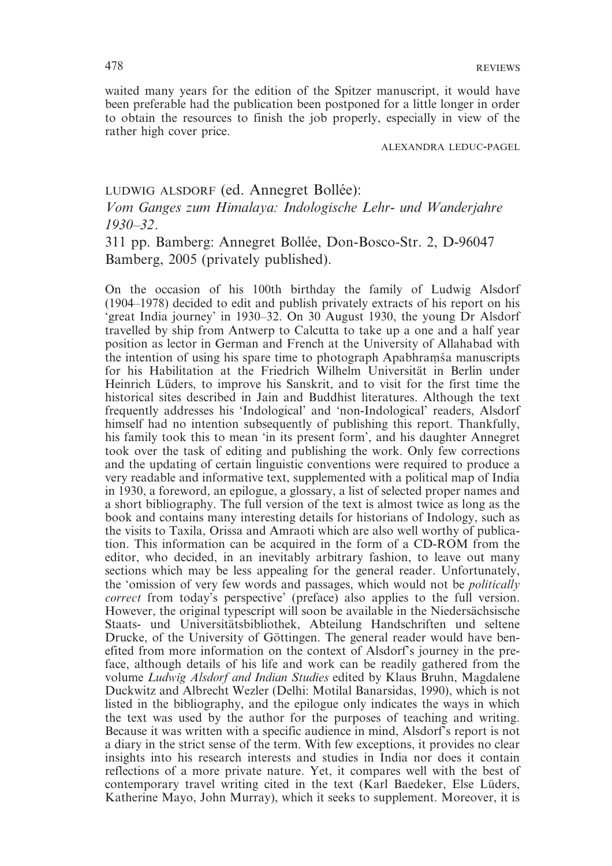waited many years for the edition of the Spitzer manuscript, it would have been preferable had the publication been postponed for a little longer in order to obtain the resources to finish the job properly, especially in view of the rather high cover price.

ALEXANDRA LEDUC-PAGEL

## LUDWIG ALSDORF (ed. Annegret Bollée):

*Vom Ganges zum Himalaya: Indologische Lehr- und Wanderjahre 1930–32*.

311 pp. Bamberg: Annegret Bollée, Don-Bosco-Str. 2, D-96047 Bamberg, 2005 (privately published).

On the occasion of his 100th birthday the family of Ludwig Alsdorf (1904–1978) decided to edit and publish privately extracts of his report on his 'great India journey' in 1930–32. On 30 August 1930, the young Dr Alsdorf travelled by ship from Antwerp to Calcutta to take up a one and a half year position as lector in German and French at the University of Allahabad with the intention of using his spare time to photograph Apabhramsa manuscripts for his Habilitation at the Friedrich Wilhelm Universität in Berlin under Heinrich Lüders, to improve his Sanskrit, and to visit for the first time the historical sites described in Jain and Buddhist literatures. Although the text frequently addresses his 'Indological' and 'non-Indological' readers, Alsdorf himself had no intention subsequently of publishing this report. Thankfully, his family took this to mean 'in its present form', and his daughter Annegret took over the task of editing and publishing the work. Only few corrections and the updating of certain linguistic conventions were required to produce a very readable and informative text, supplemented with a political map of India in 1930, a foreword, an epilogue, a glossary, a list of selected proper names and a short bibliography. The full version of the text is almost twice as long as the book and contains many interesting details for historians of Indology, such as the visits to Taxila, Orissa and Amraoti which are also well worthy of publication. This information can be acquired in the form of a CD-ROM from the editor, who decided, in an inevitably arbitrary fashion, to leave out many sections which may be less appealing for the general reader. Unfortunately, the 'omission of very few words and passages, which would not be *politically correct* from today's perspective' (preface) also applies to the full version. However, the original typescript will soon be available in the Niedersächsische Staats- und Universitätsbibliothek, Abteilung Handschriften und seltene Drucke, of the University of Göttingen. The general reader would have benefited from more information on the context of Alsdorf's journey in the preface, although details of his life and work can be readily gathered from the volume *Ludwig Alsdorf and Indian Studies* edited by Klaus Bruhn, Magdalene Duckwitz and Albrecht Wezler (Delhi: Motilal Banarsidas, 1990), which is not listed in the bibliography, and the epilogue only indicates the ways in which the text was used by the author for the purposes of teaching and writing. Because it was written with a specific audience in mind, Alsdorf's report is not a diary in the strict sense of the term. With few exceptions, it provides no clear insights into his research interests and studies in India nor does it contain reflections of a more private nature. Yet, it compares well with the best of contemporary travel writing cited in the text (Karl Baedeker, Else Lüders, Katherine Mayo, John Murray), which it seeks to supplement. Moreover, it is